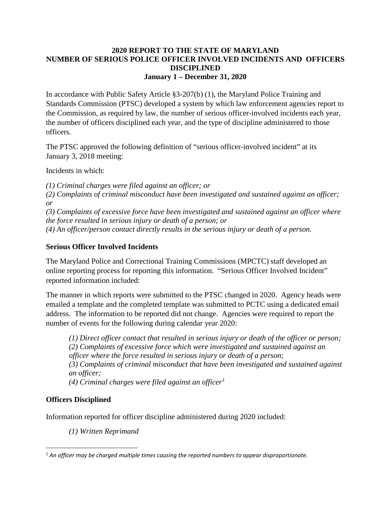## **2020 REPORT TO THE STATE OF MARYLAND NUMBER OF SERIOUS POLICE OFFICER INVOLVED INCIDENTS AND OFFICERS DISCIPLINED January 1 – December 31, 2020**

In accordance with Public Safety Article §3-207(b) (1), the Maryland Police Training and Standards Commission (PTSC) developed a system by which law enforcement agencies report to the Commission, as required by law, the number of serious officer-involved incidents each year, the number of officers disciplined each year, and the type of discipline administered to those officers.

The PTSC approved the following definition of "serious officer-involved incident" at its January 3, 2018 meeting:

Incidents in which:

*(1) Criminal charges were filed against an officer; or* 

*(2) Complaints of criminal misconduct have been investigated and sustained against an officer; or* 

*(3) Complaints of excessive force have been investigated and sustained against an officer where the force resulted in serious injury or death of a person; or* 

*(4) An officer/person contact directly results in the serious injury or death of a person.* 

## **Serious Officer Involved Incidents**

The Maryland Police and Correctional Training Commissions (MPCTC) staff developed an online reporting process for reporting this information. "Serious Officer Involved Incident" reported information included:

The manner in which reports were submitted to the PTSC changed in 2020. Agency heads were emailed a template and the completed template was submitted to PCTC using a dedicated email address. The information to be reported did not change. Agencies were required to report the number of events for the following during calendar year 2020:

*(1) Direct officer contact that resulted in serious injury or death of the officer or person; (2) Complaints of excessive force which were investigated and sustained against an officer where the force resulted in serious injury or death of a person; (3) Complaints of criminal misconduct that have been investigated and sustained against an officer; (4) Criminal charges were filed against an officer[1](#page-0-0)*

**Officers Disciplined** 

Information reported for officer discipline administered during 2020 included:

*(1) Written Reprimand* 

<span id="page-0-0"></span> <sup>1</sup> *An officer may be charged multiple times causing the reported numbers to appear disproportionate.*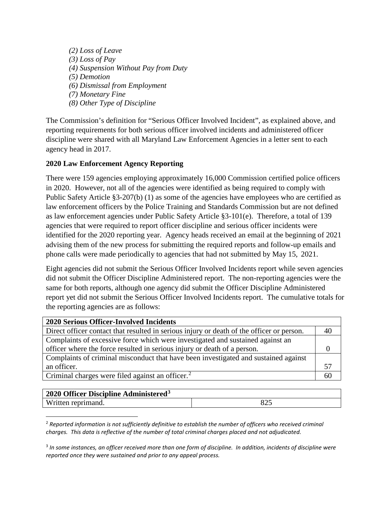*(2) Loss of Leave (3) Loss of Pay (4) Suspension Without Pay from Duty (5) Demotion (6) Dismissal from Employment (7) Monetary Fine (8) Other Type of Discipline* 

The Commission's definition for "Serious Officer Involved Incident", as explained above, and reporting requirements for both serious officer involved incidents and administered officer discipline were shared with all Maryland Law Enforcement Agencies in a letter sent to each agency head in 2017.

## **2020 Law Enforcement Agency Reporting**

There were 159 agencies employing approximately 16,000 Commission certified police officers in 2020. However, not all of the agencies were identified as being required to comply with Public Safety Article §3-207(b) (1) as some of the agencies have employees who are certified as law enforcement officers by the Police Training and Standards Commission but are not defined as law enforcement agencies under Public Safety Article §3-101(e). Therefore, a total of 139 agencies that were required to report officer discipline and serious officer incidents were identified for the 2020 reporting year. Agency heads received an email at the beginning of 2021 advising them of the new process for submitting the required reports and follow-up emails and phone calls were made periodically to agencies that had not submitted by May 15, 2021.

Eight agencies did not submit the Serious Officer Involved Incidents report while seven agencies did not submit the Officer Discipline Administered report. The non-reporting agencies were the same for both reports, although one agency did submit the Officer Discipline Administered report yet did not submit the Serious Officer Involved Incidents report. The cumulative totals for the reporting agencies are as follows:

| <b>2020 Serious Officer-Involved Incidents</b>                                            |    |
|-------------------------------------------------------------------------------------------|----|
| Direct officer contact that resulted in serious injury or death of the officer or person. | 40 |
| Complaints of excessive force which were investigated and sustained against an            |    |
| officer where the force resulted in serious injury or death of a person.                  |    |
| Complaints of criminal misconduct that have been investigated and sustained against       |    |
| an officer.                                                                               | 57 |
| Criminal charges were filed against an officer. <sup>2</sup>                              | 60 |
|                                                                                           |    |

| $2020$ Officer Discipline Administered <sup>3</sup> |     |
|-----------------------------------------------------|-----|
| Written reprimand.                                  | ð4. |

<span id="page-1-0"></span> 2 *Reported information is not sufficiently definitive to establish the number of officers who received criminal charges. This data is reflective of the number of total criminal charges placed and not adjudicated.*

<span id="page-1-1"></span><sup>3</sup> *In some instances, an officer received more than one form of discipline. In addition, incidents of discipline were reported once they were sustained and prior to any appeal process.*